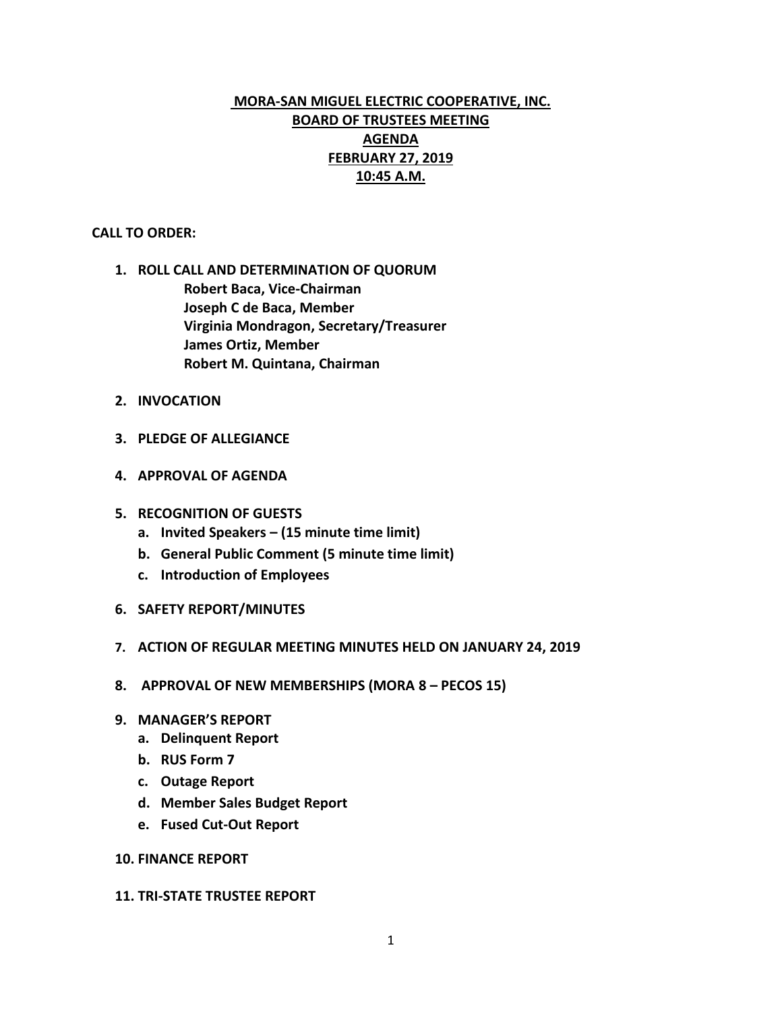# **MORA-SAN MIGUEL ELECTRIC COOPERATIVE, INC. BOARD OF TRUSTEES MEETING AGENDA FEBRUARY 27, 2019 10:45 A.M.**

#### **CALL TO ORDER:**

- **1. ROLL CALL AND DETERMINATION OF QUORUM Robert Baca, Vice-Chairman Joseph C de Baca, Member Virginia Mondragon, Secretary/Treasurer James Ortiz, Member Robert M. Quintana, Chairman**
- **2. INVOCATION**
- **3. PLEDGE OF ALLEGIANCE**
- **4. APPROVAL OF AGENDA**
- **5. RECOGNITION OF GUESTS**
	- **a. Invited Speakers – (15 minute time limit)**
	- **b. General Public Comment (5 minute time limit)**
	- **c. Introduction of Employees**
- **6. SAFETY REPORT/MINUTES**
- **7. ACTION OF REGULAR MEETING MINUTES HELD ON JANUARY 24, 2019**
- **8. APPROVAL OF NEW MEMBERSHIPS (MORA 8 – PECOS 15)**
- **9. MANAGER'S REPORT**
	- **a. Delinquent Report**
	- **b. RUS Form 7**
	- **c. Outage Report**
	- **d. Member Sales Budget Report**
	- **e. Fused Cut-Out Report**

#### **10. FINANCE REPORT**

#### **11. TRI-STATE TRUSTEE REPORT**